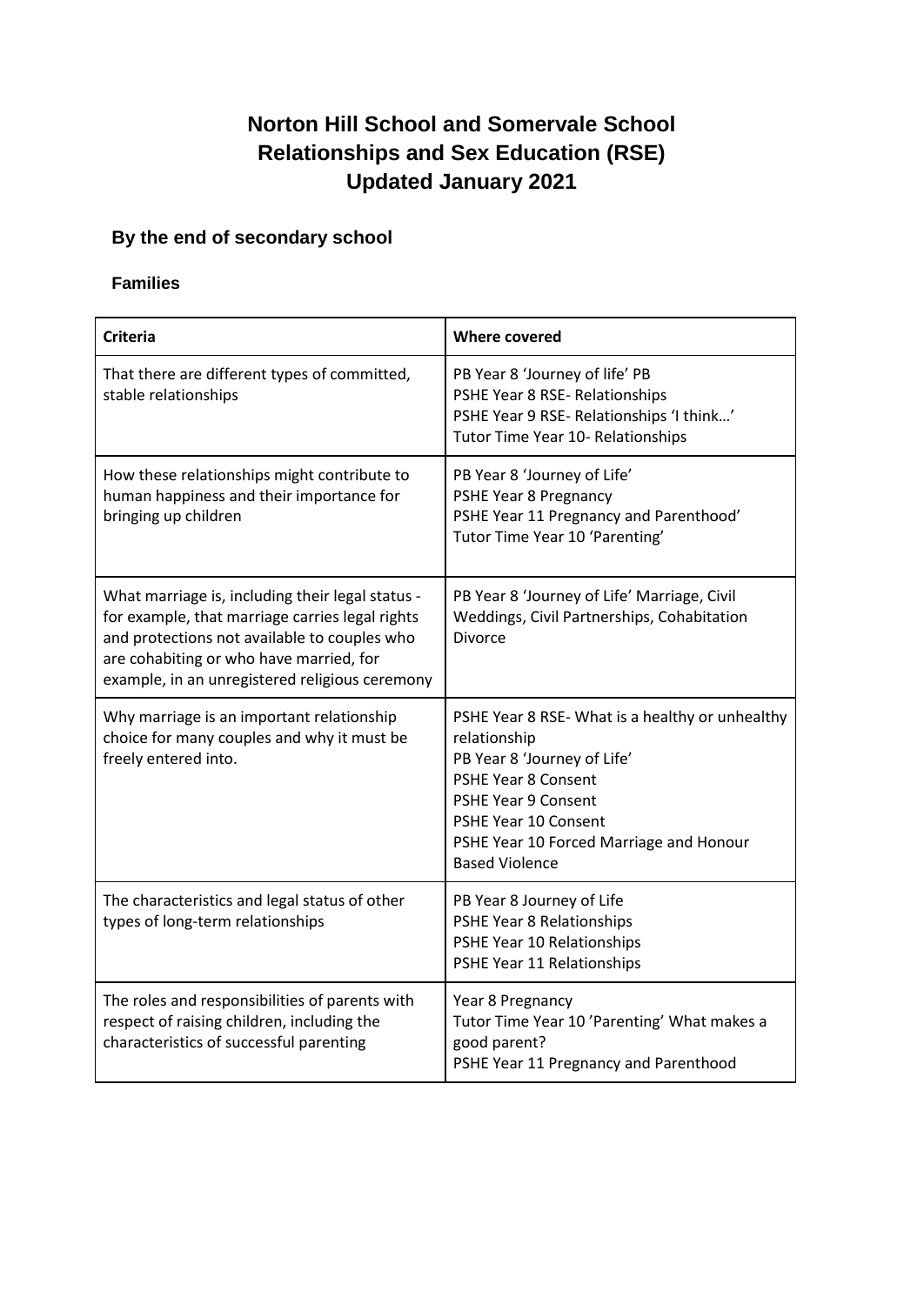# **Norton Hill School and Somervale School Relationships and Sex Education (RSE) Updated January 2021**

## **By the end of secondary school**

### **Families**

| <b>Criteria</b>                                                                                                                                                                                                                                  | <b>Where covered</b>                                                                                                                                                                                                                            |
|--------------------------------------------------------------------------------------------------------------------------------------------------------------------------------------------------------------------------------------------------|-------------------------------------------------------------------------------------------------------------------------------------------------------------------------------------------------------------------------------------------------|
| That there are different types of committed,<br>stable relationships                                                                                                                                                                             | PB Year 8 'Journey of life' PB<br>PSHE Year 8 RSE- Relationships<br>PSHE Year 9 RSE-Relationships 'I think'<br>Tutor Time Year 10- Relationships                                                                                                |
| How these relationships might contribute to<br>human happiness and their importance for<br>bringing up children                                                                                                                                  | PB Year 8 'Journey of Life'<br>PSHE Year 8 Pregnancy<br>PSHE Year 11 Pregnancy and Parenthood'<br>Tutor Time Year 10 'Parenting'                                                                                                                |
| What marriage is, including their legal status -<br>for example, that marriage carries legal rights<br>and protections not available to couples who<br>are cohabiting or who have married, for<br>example, in an unregistered religious ceremony | PB Year 8 'Journey of Life' Marriage, Civil<br>Weddings, Civil Partnerships, Cohabitation<br>Divorce                                                                                                                                            |
| Why marriage is an important relationship<br>choice for many couples and why it must be<br>freely entered into.                                                                                                                                  | PSHE Year 8 RSE- What is a healthy or unhealthy<br>relationship<br>PB Year 8 'Journey of Life'<br>PSHE Year 8 Consent<br><b>PSHE Year 9 Consent</b><br>PSHE Year 10 Consent<br>PSHE Year 10 Forced Marriage and Honour<br><b>Based Violence</b> |
| The characteristics and legal status of other<br>types of long-term relationships                                                                                                                                                                | PB Year 8 Journey of Life<br>PSHE Year 8 Relationships<br>PSHE Year 10 Relationships<br>PSHE Year 11 Relationships                                                                                                                              |
| The roles and responsibilities of parents with<br>respect of raising children, including the<br>characteristics of successful parenting                                                                                                          | Year 8 Pregnancy<br>Tutor Time Year 10 'Parenting' What makes a<br>good parent?<br>PSHE Year 11 Pregnancy and Parenthood                                                                                                                        |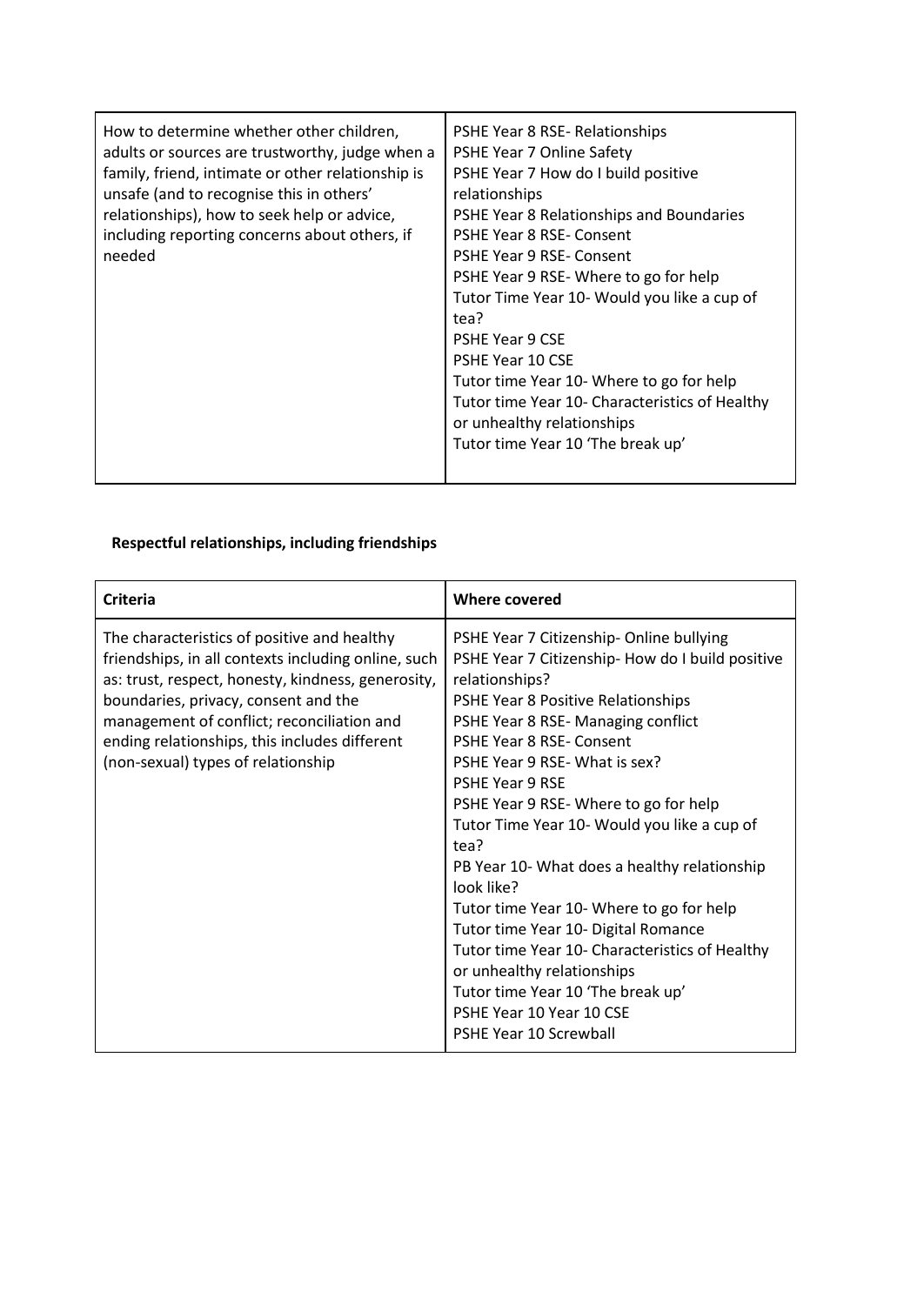| How to determine whether other children,<br>adults or sources are trustworthy, judge when a<br>family, friend, intimate or other relationship is<br>unsafe (and to recognise this in others'<br>relationships), how to seek help or advice,<br>including reporting concerns about others, if<br>needed | PSHE Year 8 RSE-Relationships<br>PSHE Year 7 Online Safety<br>PSHE Year 7 How do I build positive<br>relationships<br>PSHE Year 8 Relationships and Boundaries<br><b>PSHE Year 8 RSE- Consent</b><br><b>PSHE Year 9 RSE- Consent</b><br>PSHE Year 9 RSE-Where to go for help<br>Tutor Time Year 10- Would you like a cup of<br>tea?<br><b>PSHE Year 9 CSE</b><br><b>PSHE Year 10 CSE</b><br>Tutor time Year 10- Where to go for help<br>Tutor time Year 10- Characteristics of Healthy<br>or unhealthy relationships<br>Tutor time Year 10 'The break up' |
|--------------------------------------------------------------------------------------------------------------------------------------------------------------------------------------------------------------------------------------------------------------------------------------------------------|-----------------------------------------------------------------------------------------------------------------------------------------------------------------------------------------------------------------------------------------------------------------------------------------------------------------------------------------------------------------------------------------------------------------------------------------------------------------------------------------------------------------------------------------------------------|
|--------------------------------------------------------------------------------------------------------------------------------------------------------------------------------------------------------------------------------------------------------------------------------------------------------|-----------------------------------------------------------------------------------------------------------------------------------------------------------------------------------------------------------------------------------------------------------------------------------------------------------------------------------------------------------------------------------------------------------------------------------------------------------------------------------------------------------------------------------------------------------|

### **Respectful relationships, including friendships**

| <b>Criteria</b>                                                                                                                                                                                                                                                                                                                       | <b>Where covered</b>                                                                                                                                                                                                                                                                                                                                                                                                                                                                                                                                                                                                                                                                                                     |
|---------------------------------------------------------------------------------------------------------------------------------------------------------------------------------------------------------------------------------------------------------------------------------------------------------------------------------------|--------------------------------------------------------------------------------------------------------------------------------------------------------------------------------------------------------------------------------------------------------------------------------------------------------------------------------------------------------------------------------------------------------------------------------------------------------------------------------------------------------------------------------------------------------------------------------------------------------------------------------------------------------------------------------------------------------------------------|
| The characteristics of positive and healthy<br>friendships, in all contexts including online, such<br>as: trust, respect, honesty, kindness, generosity,<br>boundaries, privacy, consent and the<br>management of conflict; reconciliation and<br>ending relationships, this includes different<br>(non-sexual) types of relationship | PSHE Year 7 Citizenship- Online bullying<br>PSHE Year 7 Citizenship-How do I build positive<br>relationships?<br>PSHE Year 8 Positive Relationships<br>PSHE Year 8 RSE-Managing conflict<br><b>PSHE Year 8 RSE- Consent</b><br>PSHE Year 9 RSE- What is sex?<br><b>PSHE Year 9 RSE</b><br>PSHE Year 9 RSE-Where to go for help<br>Tutor Time Year 10- Would you like a cup of<br>tea?<br>PB Year 10- What does a healthy relationship<br>look like?<br>Tutor time Year 10- Where to go for help<br>Tutor time Year 10- Digital Romance<br>Tutor time Year 10- Characteristics of Healthy<br>or unhealthy relationships<br>Tutor time Year 10 'The break up'<br>PSHE Year 10 Year 10 CSE<br><b>PSHE Year 10 Screwball</b> |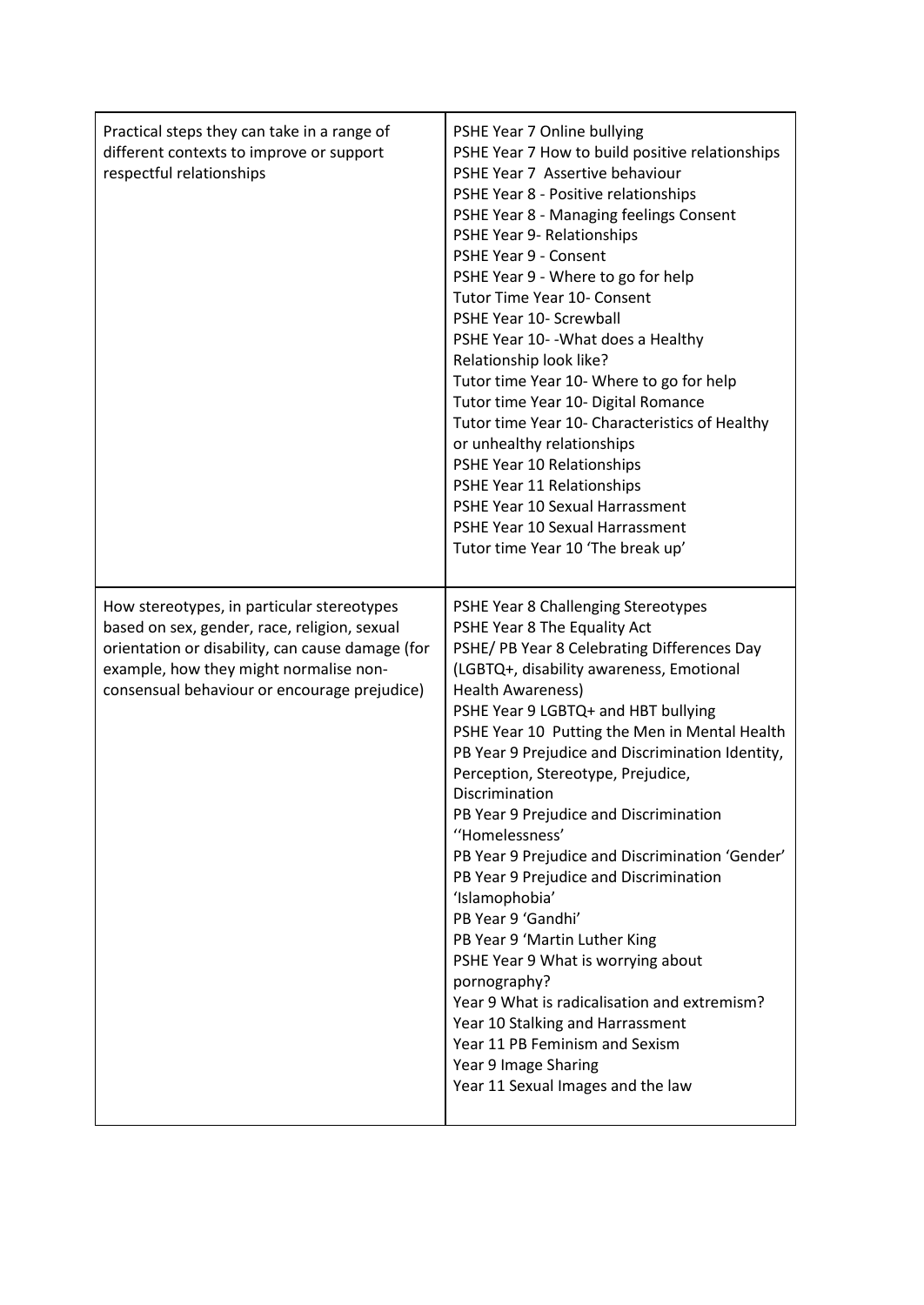| Practical steps they can take in a range of<br>different contexts to improve or support<br>respectful relationships                                                                                                                      | PSHE Year 7 Online bullying<br>PSHE Year 7 How to build positive relationships<br>PSHE Year 7 Assertive behaviour<br>PSHE Year 8 - Positive relationships<br>PSHE Year 8 - Managing feelings Consent<br>PSHE Year 9- Relationships<br>PSHE Year 9 - Consent<br>PSHE Year 9 - Where to go for help<br><b>Tutor Time Year 10- Consent</b><br>PSHE Year 10- Screwball<br>PSHE Year 10- - What does a Healthy<br>Relationship look like?<br>Tutor time Year 10- Where to go for help<br>Tutor time Year 10- Digital Romance<br>Tutor time Year 10- Characteristics of Healthy<br>or unhealthy relationships<br>PSHE Year 10 Relationships<br>PSHE Year 11 Relationships<br>PSHE Year 10 Sexual Harrassment<br>PSHE Year 10 Sexual Harrassment<br>Tutor time Year 10 'The break up'                                                                                            |
|------------------------------------------------------------------------------------------------------------------------------------------------------------------------------------------------------------------------------------------|---------------------------------------------------------------------------------------------------------------------------------------------------------------------------------------------------------------------------------------------------------------------------------------------------------------------------------------------------------------------------------------------------------------------------------------------------------------------------------------------------------------------------------------------------------------------------------------------------------------------------------------------------------------------------------------------------------------------------------------------------------------------------------------------------------------------------------------------------------------------------|
| How stereotypes, in particular stereotypes<br>based on sex, gender, race, religion, sexual<br>orientation or disability, can cause damage (for<br>example, how they might normalise non-<br>consensual behaviour or encourage prejudice) | PSHE Year 8 Challenging Stereotypes<br>PSHE Year 8 The Equality Act<br>PSHE/ PB Year 8 Celebrating Differences Day<br>(LGBTQ+, disability awareness, Emotional<br><b>Health Awareness)</b><br>PSHE Year 9 LGBTQ+ and HBT bullying<br>PSHE Year 10 Putting the Men in Mental Health<br>PB Year 9 Prejudice and Discrimination Identity,<br>Perception, Stereotype, Prejudice,<br>Discrimination<br>PB Year 9 Prejudice and Discrimination<br>"Homelessness"<br>PB Year 9 Prejudice and Discrimination 'Gender'<br>PB Year 9 Prejudice and Discrimination<br>'Islamophobia'<br>PB Year 9 'Gandhi'<br>PB Year 9 'Martin Luther King<br>PSHE Year 9 What is worrying about<br>pornography?<br>Year 9 What is radicalisation and extremism?<br>Year 10 Stalking and Harrassment<br>Year 11 PB Feminism and Sexism<br>Year 9 Image Sharing<br>Year 11 Sexual Images and the law |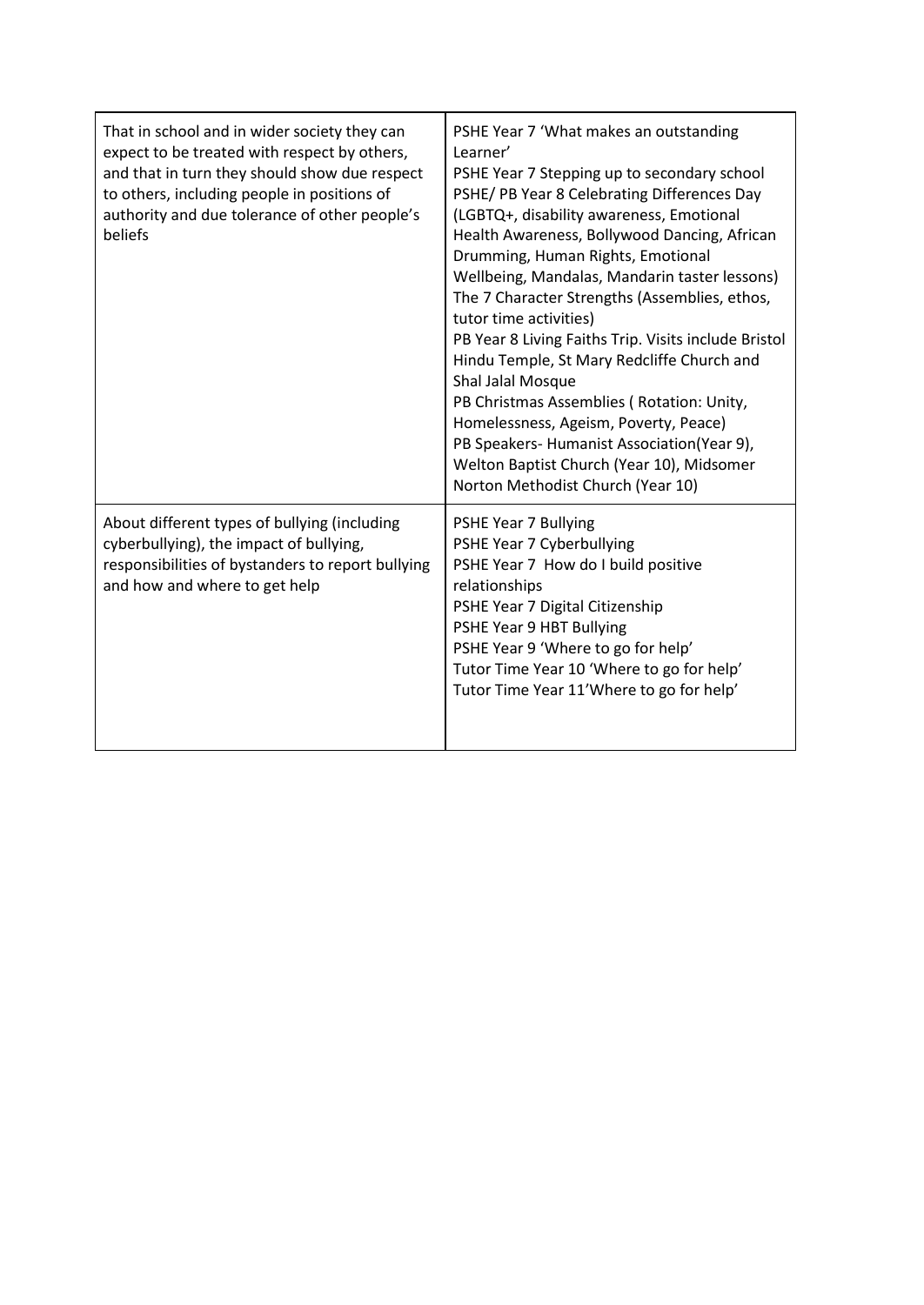| That in school and in wider society they can<br>expect to be treated with respect by others,<br>and that in turn they should show due respect<br>to others, including people in positions of<br>authority and due tolerance of other people's<br>beliefs | PSHE Year 7 'What makes an outstanding<br>Learner'<br>PSHE Year 7 Stepping up to secondary school<br>PSHE/ PB Year 8 Celebrating Differences Day<br>(LGBTQ+, disability awareness, Emotional<br>Health Awareness, Bollywood Dancing, African<br>Drumming, Human Rights, Emotional<br>Wellbeing, Mandalas, Mandarin taster lessons)<br>The 7 Character Strengths (Assemblies, ethos,<br>tutor time activities)<br>PB Year 8 Living Faiths Trip. Visits include Bristol<br>Hindu Temple, St Mary Redcliffe Church and<br>Shal Jalal Mosque<br>PB Christmas Assemblies (Rotation: Unity,<br>Homelessness, Ageism, Poverty, Peace)<br>PB Speakers-Humanist Association(Year 9),<br>Welton Baptist Church (Year 10), Midsomer<br>Norton Methodist Church (Year 10) |
|----------------------------------------------------------------------------------------------------------------------------------------------------------------------------------------------------------------------------------------------------------|---------------------------------------------------------------------------------------------------------------------------------------------------------------------------------------------------------------------------------------------------------------------------------------------------------------------------------------------------------------------------------------------------------------------------------------------------------------------------------------------------------------------------------------------------------------------------------------------------------------------------------------------------------------------------------------------------------------------------------------------------------------|
| About different types of bullying (including<br>cyberbullying), the impact of bullying,<br>responsibilities of bystanders to report bullying<br>and how and where to get help                                                                            | PSHE Year 7 Bullying<br>PSHE Year 7 Cyberbullying<br>PSHE Year 7 How do I build positive<br>relationships<br>PSHE Year 7 Digital Citizenship<br>PSHE Year 9 HBT Bullying<br>PSHE Year 9 'Where to go for help'<br>Tutor Time Year 10 'Where to go for help'<br>Tutor Time Year 11'Where to go for help'                                                                                                                                                                                                                                                                                                                                                                                                                                                       |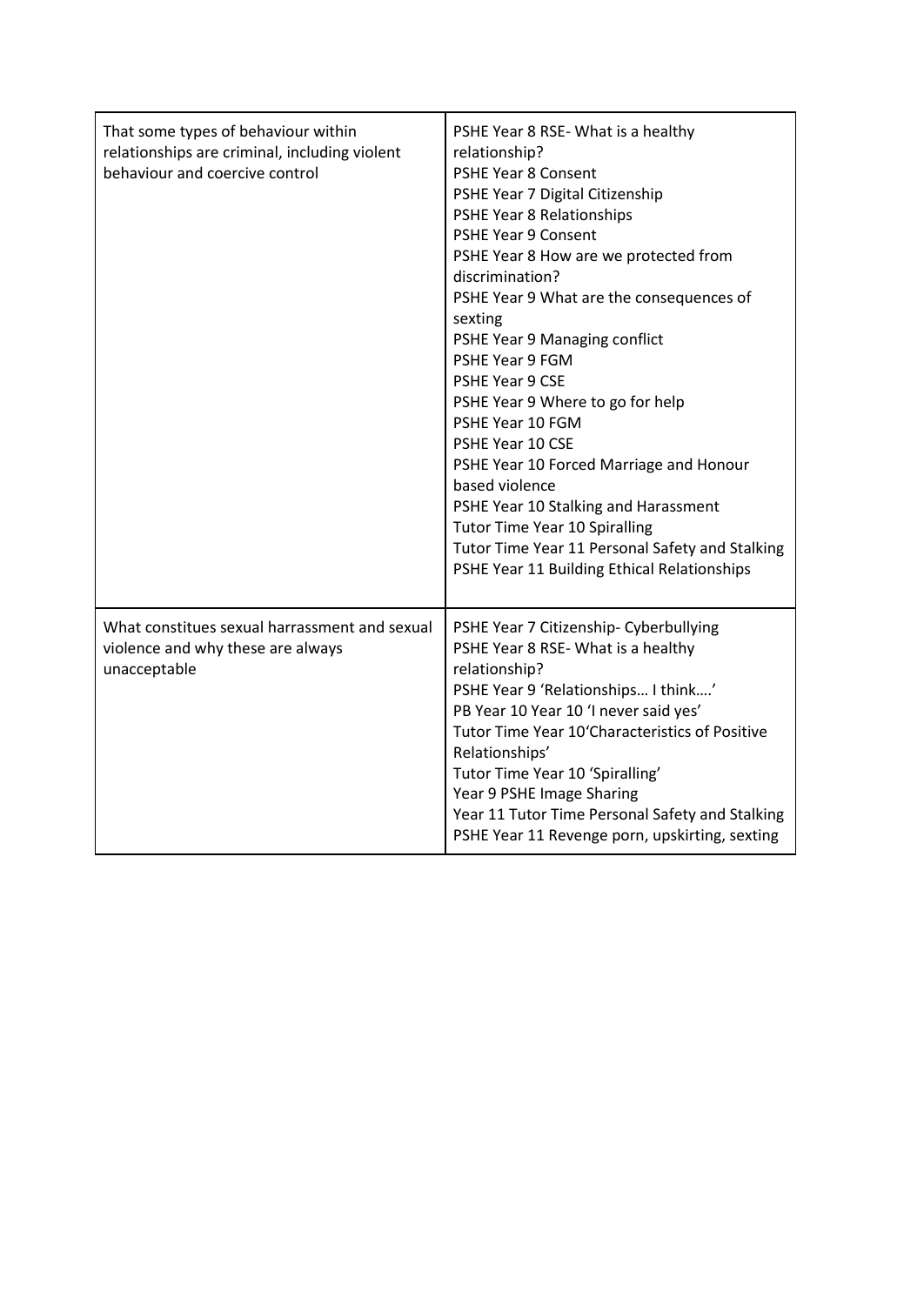| That some types of behaviour within<br>relationships are criminal, including violent<br>behaviour and coercive control | PSHE Year 8 RSE-What is a healthy<br>relationship?<br><b>PSHE Year 8 Consent</b><br>PSHE Year 7 Digital Citizenship<br>PSHE Year 8 Relationships<br><b>PSHE Year 9 Consent</b><br>PSHE Year 8 How are we protected from<br>discrimination?<br>PSHE Year 9 What are the consequences of<br>sexting<br>PSHE Year 9 Managing conflict<br>PSHE Year 9 FGM<br>PSHE Year 9 CSE<br>PSHE Year 9 Where to go for help<br>PSHE Year 10 FGM<br>PSHE Year 10 CSE<br>PSHE Year 10 Forced Marriage and Honour<br>based violence<br>PSHE Year 10 Stalking and Harassment<br><b>Tutor Time Year 10 Spiralling</b><br>Tutor Time Year 11 Personal Safety and Stalking<br>PSHE Year 11 Building Ethical Relationships |
|------------------------------------------------------------------------------------------------------------------------|-----------------------------------------------------------------------------------------------------------------------------------------------------------------------------------------------------------------------------------------------------------------------------------------------------------------------------------------------------------------------------------------------------------------------------------------------------------------------------------------------------------------------------------------------------------------------------------------------------------------------------------------------------------------------------------------------------|
| What constitues sexual harrassment and sexual<br>violence and why these are always<br>unacceptable                     | PSHE Year 7 Citizenship- Cyberbullying<br>PSHE Year 8 RSE- What is a healthy<br>relationship?<br>PSHE Year 9 'Relationships I think'<br>PB Year 10 Year 10 'I never said yes'<br>Tutor Time Year 10'Characteristics of Positive<br>Relationships'<br>Tutor Time Year 10 'Spiralling'<br>Year 9 PSHE Image Sharing<br>Year 11 Tutor Time Personal Safety and Stalking<br>PSHE Year 11 Revenge porn, upskirting, sexting                                                                                                                                                                                                                                                                              |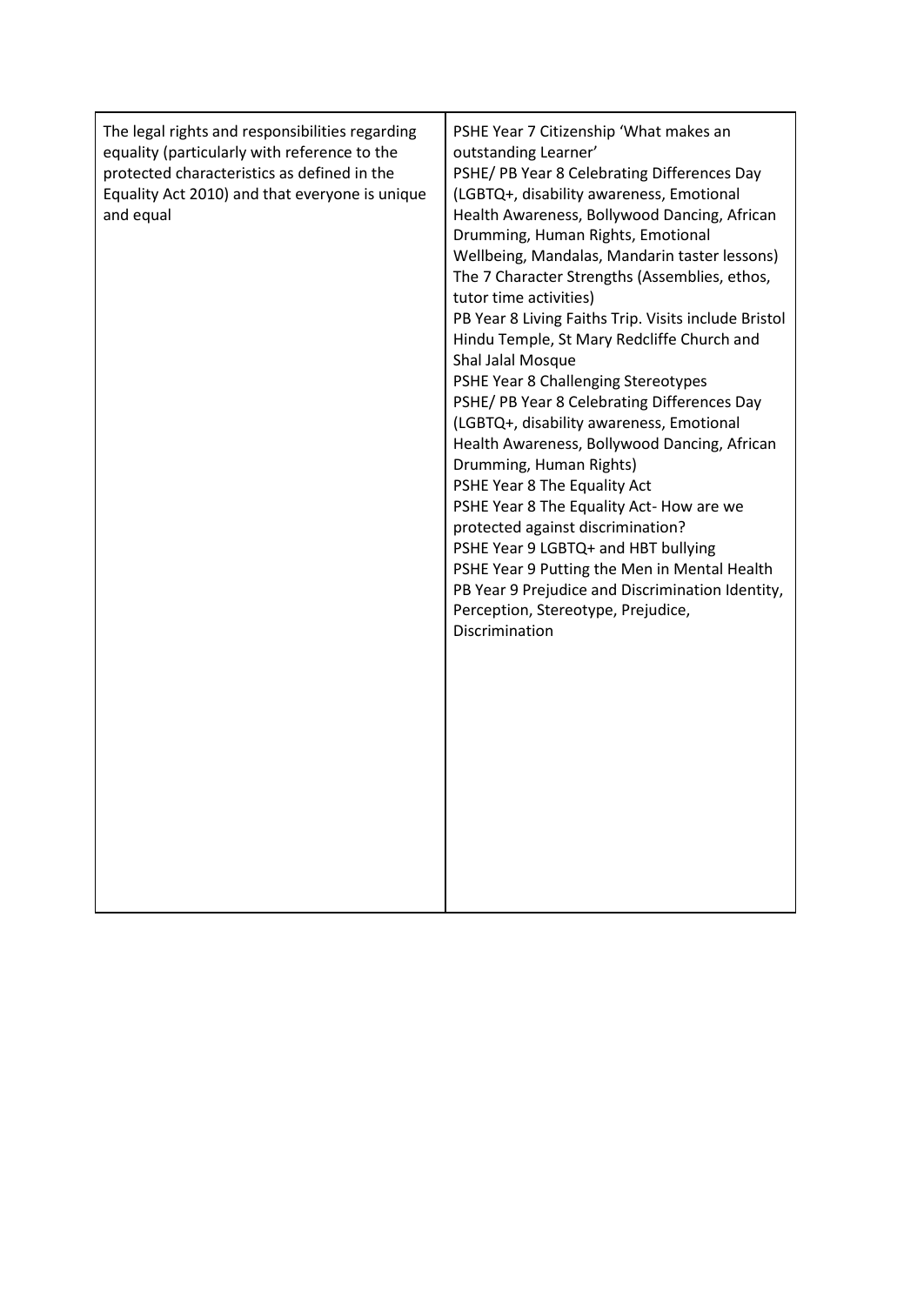| The legal rights and responsibilities regarding<br>equality (particularly with reference to the<br>protected characteristics as defined in the<br>Equality Act 2010) and that everyone is unique<br>and equal | PSHE Year 7 Citizenship 'What makes an<br>outstanding Learner'<br>PSHE/ PB Year 8 Celebrating Differences Day<br>(LGBTQ+, disability awareness, Emotional<br>Health Awareness, Bollywood Dancing, African<br>Drumming, Human Rights, Emotional<br>Wellbeing, Mandalas, Mandarin taster lessons)<br>The 7 Character Strengths (Assemblies, ethos,<br>tutor time activities)<br>PB Year 8 Living Faiths Trip. Visits include Bristol<br>Hindu Temple, St Mary Redcliffe Church and<br>Shal Jalal Mosque<br>PSHE Year 8 Challenging Stereotypes<br>PSHE/ PB Year 8 Celebrating Differences Day<br>(LGBTQ+, disability awareness, Emotional<br>Health Awareness, Bollywood Dancing, African<br>Drumming, Human Rights)<br>PSHE Year 8 The Equality Act<br>PSHE Year 8 The Equality Act- How are we<br>protected against discrimination?<br>PSHE Year 9 LGBTQ+ and HBT bullying<br>PSHE Year 9 Putting the Men in Mental Health<br>PB Year 9 Prejudice and Discrimination Identity,<br>Perception, Stereotype, Prejudice,<br>Discrimination |
|---------------------------------------------------------------------------------------------------------------------------------------------------------------------------------------------------------------|----------------------------------------------------------------------------------------------------------------------------------------------------------------------------------------------------------------------------------------------------------------------------------------------------------------------------------------------------------------------------------------------------------------------------------------------------------------------------------------------------------------------------------------------------------------------------------------------------------------------------------------------------------------------------------------------------------------------------------------------------------------------------------------------------------------------------------------------------------------------------------------------------------------------------------------------------------------------------------------------------------------------------------------|
|                                                                                                                                                                                                               |                                                                                                                                                                                                                                                                                                                                                                                                                                                                                                                                                                                                                                                                                                                                                                                                                                                                                                                                                                                                                                        |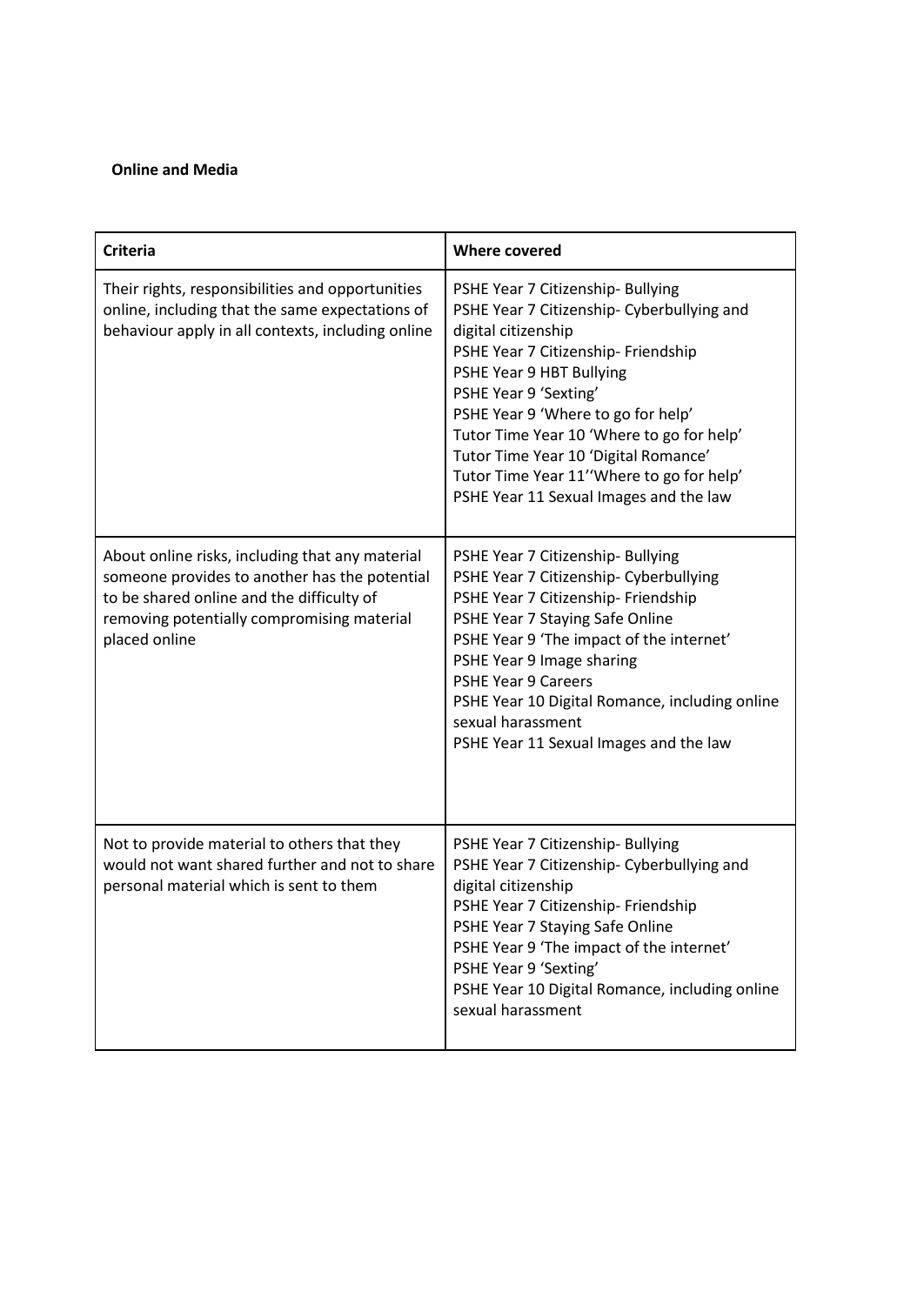#### **Online and Media**

| <b>Criteria</b>                                                                                                                                                                                              | <b>Where covered</b>                                                                                                                                                                                                                                                                                                                                                                                                 |
|--------------------------------------------------------------------------------------------------------------------------------------------------------------------------------------------------------------|----------------------------------------------------------------------------------------------------------------------------------------------------------------------------------------------------------------------------------------------------------------------------------------------------------------------------------------------------------------------------------------------------------------------|
| Their rights, responsibilities and opportunities<br>online, including that the same expectations of<br>behaviour apply in all contexts, including online                                                     | PSHE Year 7 Citizenship- Bullying<br>PSHE Year 7 Citizenship- Cyberbullying and<br>digital citizenship<br>PSHE Year 7 Citizenship- Friendship<br>PSHE Year 9 HBT Bullying<br>PSHE Year 9 'Sexting'<br>PSHE Year 9 'Where to go for help'<br>Tutor Time Year 10 'Where to go for help'<br>Tutor Time Year 10 'Digital Romance'<br>Tutor Time Year 11''Where to go for help'<br>PSHE Year 11 Sexual Images and the law |
| About online risks, including that any material<br>someone provides to another has the potential<br>to be shared online and the difficulty of<br>removing potentially compromising material<br>placed online | PSHE Year 7 Citizenship- Bullying<br>PSHE Year 7 Citizenship- Cyberbullying<br>PSHE Year 7 Citizenship- Friendship<br>PSHE Year 7 Staying Safe Online<br>PSHE Year 9 'The impact of the internet'<br>PSHE Year 9 Image sharing<br><b>PSHE Year 9 Careers</b><br>PSHE Year 10 Digital Romance, including online<br>sexual harassment<br>PSHE Year 11 Sexual Images and the law                                        |
| Not to provide material to others that they<br>would not want shared further and not to share<br>personal material which is sent to them                                                                     | PSHE Year 7 Citizenship- Bullying<br>PSHE Year 7 Citizenship- Cyberbullying and<br>digital citizenship<br>PSHE Year 7 Citizenship- Friendship<br>PSHE Year 7 Staying Safe Online<br>PSHE Year 9 'The impact of the internet'<br>PSHE Year 9 'Sexting'<br>PSHE Year 10 Digital Romance, including online<br>sexual harassment                                                                                         |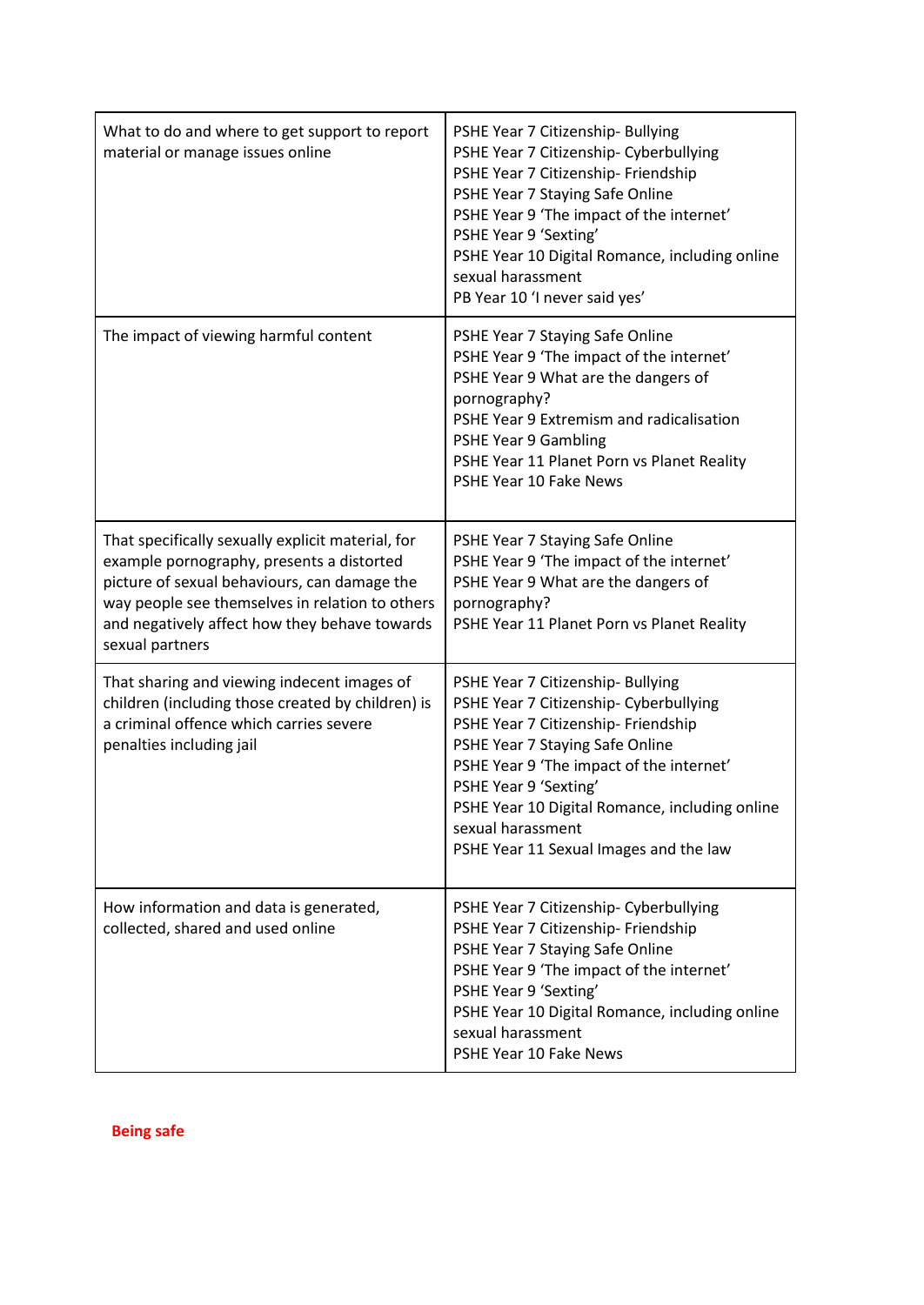| What to do and where to get support to report<br>material or manage issues online                                                                                                                                                                                     | PSHE Year 7 Citizenship- Bullying<br>PSHE Year 7 Citizenship- Cyberbullying<br>PSHE Year 7 Citizenship- Friendship<br>PSHE Year 7 Staying Safe Online<br>PSHE Year 9 'The impact of the internet'<br>PSHE Year 9 'Sexting'<br>PSHE Year 10 Digital Romance, including online<br>sexual harassment<br>PB Year 10 'I never said yes'          |
|-----------------------------------------------------------------------------------------------------------------------------------------------------------------------------------------------------------------------------------------------------------------------|---------------------------------------------------------------------------------------------------------------------------------------------------------------------------------------------------------------------------------------------------------------------------------------------------------------------------------------------|
| The impact of viewing harmful content                                                                                                                                                                                                                                 | PSHE Year 7 Staying Safe Online<br>PSHE Year 9 'The impact of the internet'<br>PSHE Year 9 What are the dangers of<br>pornography?<br>PSHE Year 9 Extremism and radicalisation<br><b>PSHE Year 9 Gambling</b><br>PSHE Year 11 Planet Porn vs Planet Reality<br>PSHE Year 10 Fake News                                                       |
| That specifically sexually explicit material, for<br>example pornography, presents a distorted<br>picture of sexual behaviours, can damage the<br>way people see themselves in relation to others<br>and negatively affect how they behave towards<br>sexual partners | PSHE Year 7 Staying Safe Online<br>PSHE Year 9 'The impact of the internet'<br>PSHE Year 9 What are the dangers of<br>pornography?<br>PSHE Year 11 Planet Porn vs Planet Reality                                                                                                                                                            |
| That sharing and viewing indecent images of<br>children (including those created by children) is<br>a criminal offence which carries severe<br>penalties including jail                                                                                               | PSHE Year 7 Citizenship- Bullying<br>PSHE Year 7 Citizenship- Cyberbullying<br>PSHE Year 7 Citizenship- Friendship<br>PSHE Year 7 Staying Safe Online<br>PSHE Year 9 'The impact of the internet'<br>PSHE Year 9 'Sexting'<br>PSHE Year 10 Digital Romance, including online<br>sexual harassment<br>PSHE Year 11 Sexual Images and the law |
| How information and data is generated,<br>collected, shared and used online                                                                                                                                                                                           | PSHE Year 7 Citizenship- Cyberbullying<br>PSHE Year 7 Citizenship- Friendship<br>PSHE Year 7 Staying Safe Online<br>PSHE Year 9 'The impact of the internet'<br>PSHE Year 9 'Sexting'<br>PSHE Year 10 Digital Romance, including online<br>sexual harassment<br>PSHE Year 10 Fake News                                                      |

**Being safe**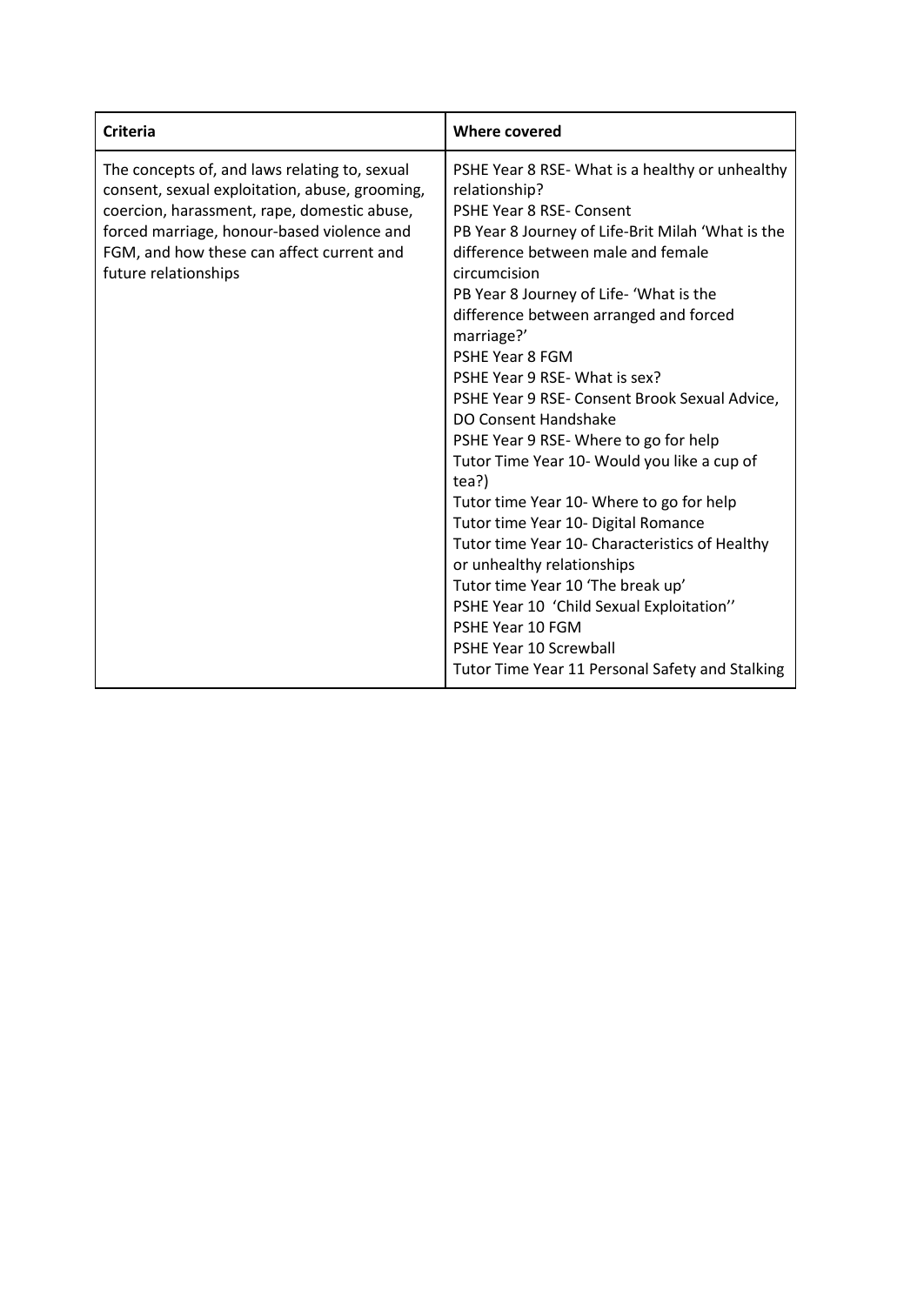| <b>Criteria</b>                                                                                                                                                                                                                                                   | <b>Where covered</b>                                                                                                                                                                                                                                                                                                                                                                                                                                                                                                                                                                                                                                                                                                                                                                                                                                                                                      |
|-------------------------------------------------------------------------------------------------------------------------------------------------------------------------------------------------------------------------------------------------------------------|-----------------------------------------------------------------------------------------------------------------------------------------------------------------------------------------------------------------------------------------------------------------------------------------------------------------------------------------------------------------------------------------------------------------------------------------------------------------------------------------------------------------------------------------------------------------------------------------------------------------------------------------------------------------------------------------------------------------------------------------------------------------------------------------------------------------------------------------------------------------------------------------------------------|
| The concepts of, and laws relating to, sexual<br>consent, sexual exploitation, abuse, grooming,<br>coercion, harassment, rape, domestic abuse,<br>forced marriage, honour-based violence and<br>FGM, and how these can affect current and<br>future relationships | PSHE Year 8 RSE-What is a healthy or unhealthy<br>relationship?<br><b>PSHE Year 8 RSE- Consent</b><br>PB Year 8 Journey of Life-Brit Milah 'What is the<br>difference between male and female<br>circumcision<br>PB Year 8 Journey of Life- 'What is the<br>difference between arranged and forced<br>marriage?'<br>PSHE Year 8 FGM<br>PSHE Year 9 RSE- What is sex?<br>PSHE Year 9 RSE- Consent Brook Sexual Advice,<br>DO Consent Handshake<br>PSHE Year 9 RSE-Where to go for help<br>Tutor Time Year 10- Would you like a cup of<br>tea?)<br>Tutor time Year 10- Where to go for help<br>Tutor time Year 10- Digital Romance<br>Tutor time Year 10- Characteristics of Healthy<br>or unhealthy relationships<br>Tutor time Year 10 'The break up'<br>PSHE Year 10 'Child Sexual Exploitation"<br>PSHE Year 10 FGM<br><b>PSHE Year 10 Screwball</b><br>Tutor Time Year 11 Personal Safety and Stalking |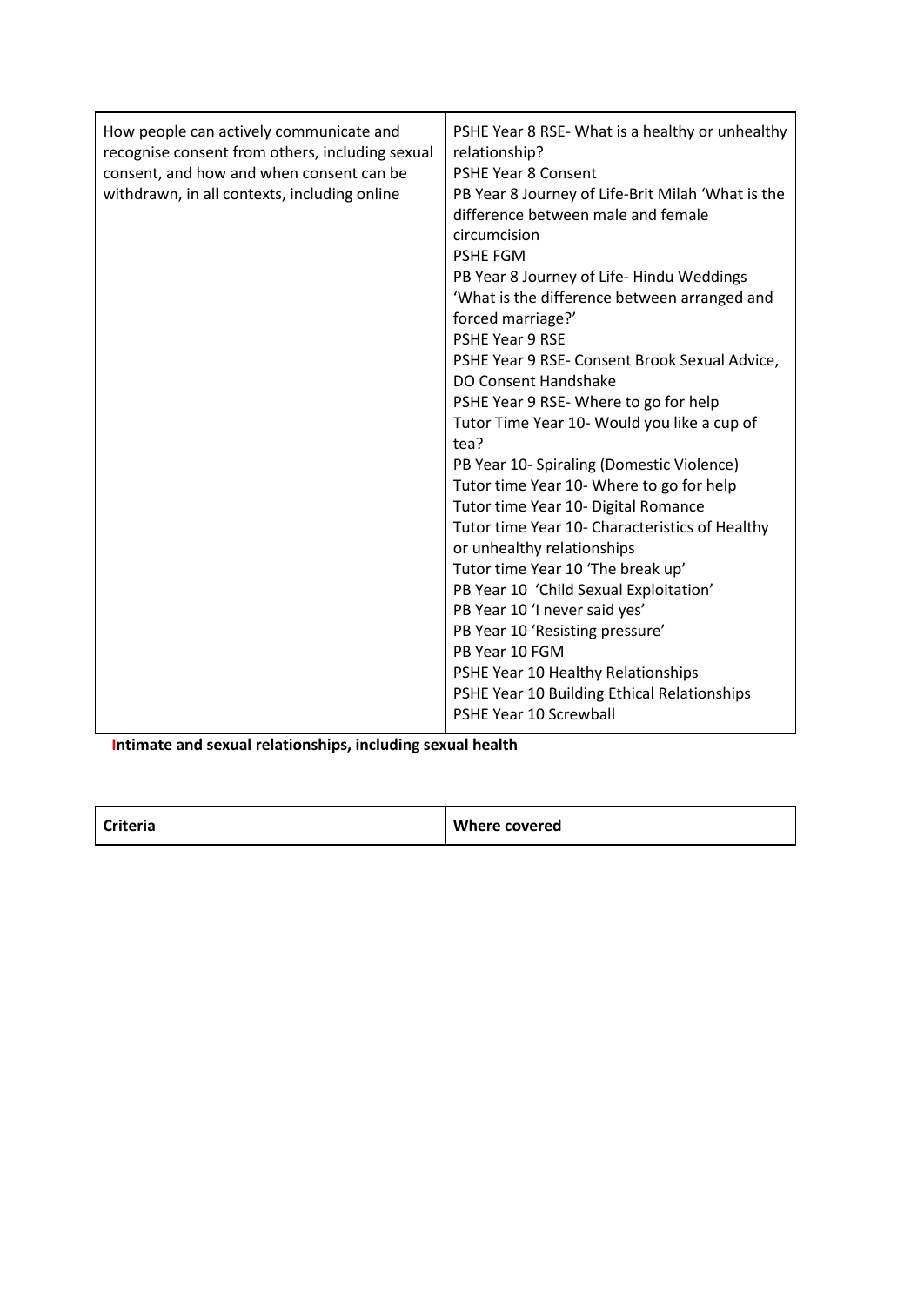| difference between male and female<br>circumcision<br><b>PSHE FGM</b><br>forced marriage?'<br><b>PSHE Year 9 RSE</b><br>tea?<br>PB Year 10 FGM | PB Year 8 Journey of Life-Hindu Weddings<br>'What is the difference between arranged and<br>PSHE Year 9 RSE- Consent Brook Sexual Advice,<br>DO Consent Handshake<br>PSHE Year 9 RSE-Where to go for help<br>Tutor Time Year 10- Would you like a cup of<br>PB Year 10- Spiraling (Domestic Violence)<br>Tutor time Year 10- Where to go for help<br>Tutor time Year 10- Digital Romance<br>Tutor time Year 10- Characteristics of Healthy<br>or unhealthy relationships<br>Tutor time Year 10 'The break up'<br>PB Year 10 'Child Sexual Exploitation'<br>PB Year 10 'I never said yes'<br>PB Year 10 'Resisting pressure'<br>PSHE Year 10 Healthy Relationships<br>PSHE Year 10 Building Ethical Relationships<br><b>PSHE Year 10 Screwball</b> |
|------------------------------------------------------------------------------------------------------------------------------------------------|---------------------------------------------------------------------------------------------------------------------------------------------------------------------------------------------------------------------------------------------------------------------------------------------------------------------------------------------------------------------------------------------------------------------------------------------------------------------------------------------------------------------------------------------------------------------------------------------------------------------------------------------------------------------------------------------------------------------------------------------------|
|------------------------------------------------------------------------------------------------------------------------------------------------|---------------------------------------------------------------------------------------------------------------------------------------------------------------------------------------------------------------------------------------------------------------------------------------------------------------------------------------------------------------------------------------------------------------------------------------------------------------------------------------------------------------------------------------------------------------------------------------------------------------------------------------------------------------------------------------------------------------------------------------------------|

**Intimate and sexual relationships, including sexual health**

| <b>Criteria</b> | <b>Where covered</b> |
|-----------------|----------------------|
|-----------------|----------------------|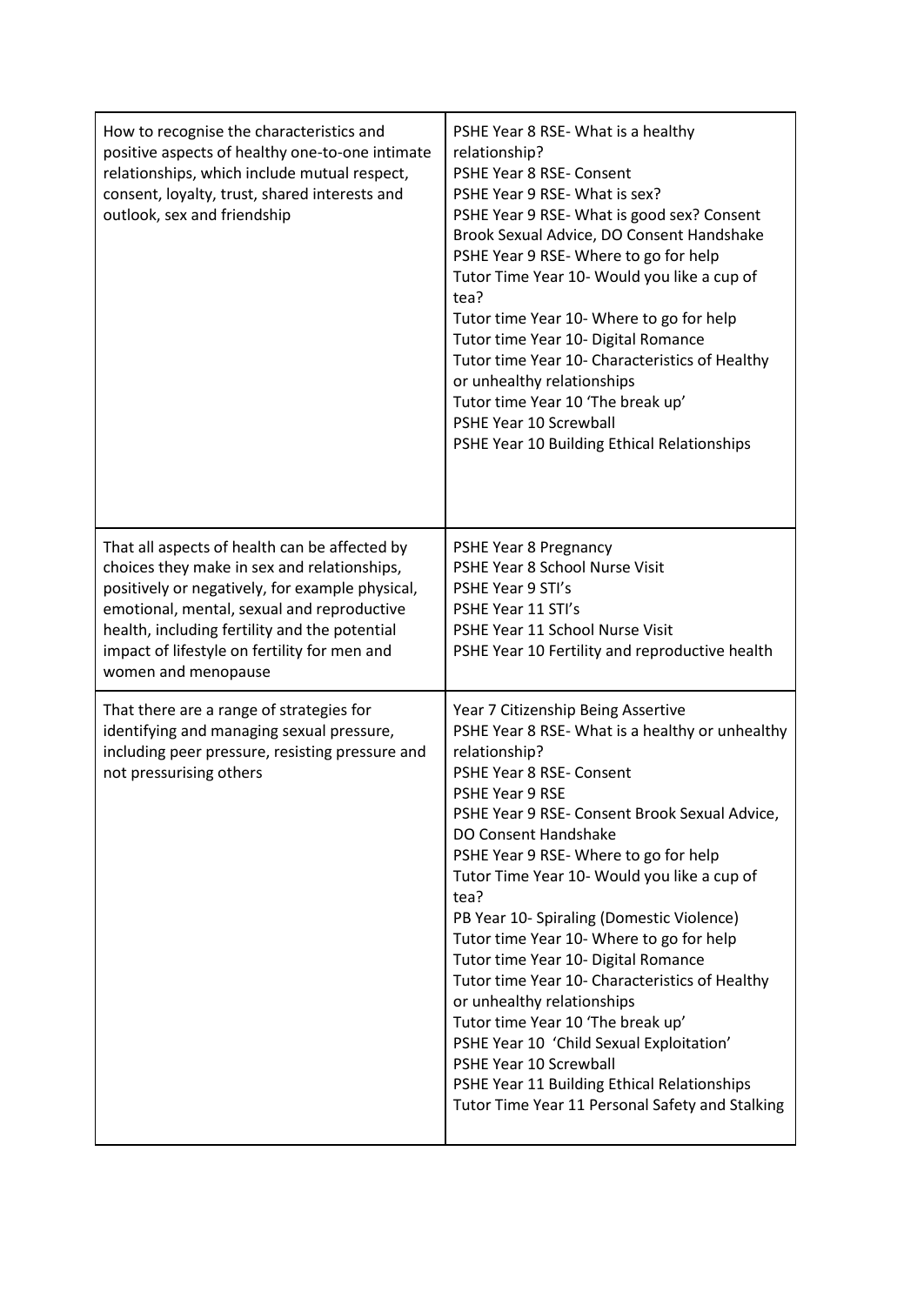| How to recognise the characteristics and<br>positive aspects of healthy one-to-one intimate<br>relationships, which include mutual respect,<br>consent, loyalty, trust, shared interests and<br>outlook, sex and friendship                                                                                           | PSHE Year 8 RSE-What is a healthy<br>relationship?<br>PSHE Year 8 RSE- Consent<br>PSHE Year 9 RSE- What is sex?<br>PSHE Year 9 RSE- What is good sex? Consent<br>Brook Sexual Advice, DO Consent Handshake<br>PSHE Year 9 RSE-Where to go for help<br>Tutor Time Year 10- Would you like a cup of<br>tea?<br>Tutor time Year 10- Where to go for help<br>Tutor time Year 10- Digital Romance<br>Tutor time Year 10- Characteristics of Healthy<br>or unhealthy relationships<br>Tutor time Year 10 'The break up'<br>PSHE Year 10 Screwball<br>PSHE Year 10 Building Ethical Relationships                                                                                                                                                                        |
|-----------------------------------------------------------------------------------------------------------------------------------------------------------------------------------------------------------------------------------------------------------------------------------------------------------------------|-------------------------------------------------------------------------------------------------------------------------------------------------------------------------------------------------------------------------------------------------------------------------------------------------------------------------------------------------------------------------------------------------------------------------------------------------------------------------------------------------------------------------------------------------------------------------------------------------------------------------------------------------------------------------------------------------------------------------------------------------------------------|
| That all aspects of health can be affected by<br>choices they make in sex and relationships,<br>positively or negatively, for example physical,<br>emotional, mental, sexual and reproductive<br>health, including fertility and the potential<br>impact of lifestyle on fertility for men and<br>women and menopause | PSHE Year 8 Pregnancy<br>PSHE Year 8 School Nurse Visit<br>PSHE Year 9 STI's<br>PSHE Year 11 STI's<br>PSHE Year 11 School Nurse Visit<br>PSHE Year 10 Fertility and reproductive health                                                                                                                                                                                                                                                                                                                                                                                                                                                                                                                                                                           |
| That there are a range of strategies for<br>identifying and managing sexual pressure,<br>including peer pressure, resisting pressure and<br>not pressurising others                                                                                                                                                   | Year 7 Citizenship Being Assertive<br>PSHE Year 8 RSE- What is a healthy or unhealthy<br>relationship?<br>PSHE Year 8 RSE- Consent<br><b>PSHE Year 9 RSE</b><br>PSHE Year 9 RSE- Consent Brook Sexual Advice,<br>DO Consent Handshake<br>PSHE Year 9 RSE-Where to go for help<br>Tutor Time Year 10- Would you like a cup of<br>tea?<br>PB Year 10- Spiraling (Domestic Violence)<br>Tutor time Year 10- Where to go for help<br>Tutor time Year 10- Digital Romance<br>Tutor time Year 10- Characteristics of Healthy<br>or unhealthy relationships<br>Tutor time Year 10 'The break up'<br>PSHE Year 10 'Child Sexual Exploitation'<br>PSHE Year 10 Screwball<br>PSHE Year 11 Building Ethical Relationships<br>Tutor Time Year 11 Personal Safety and Stalking |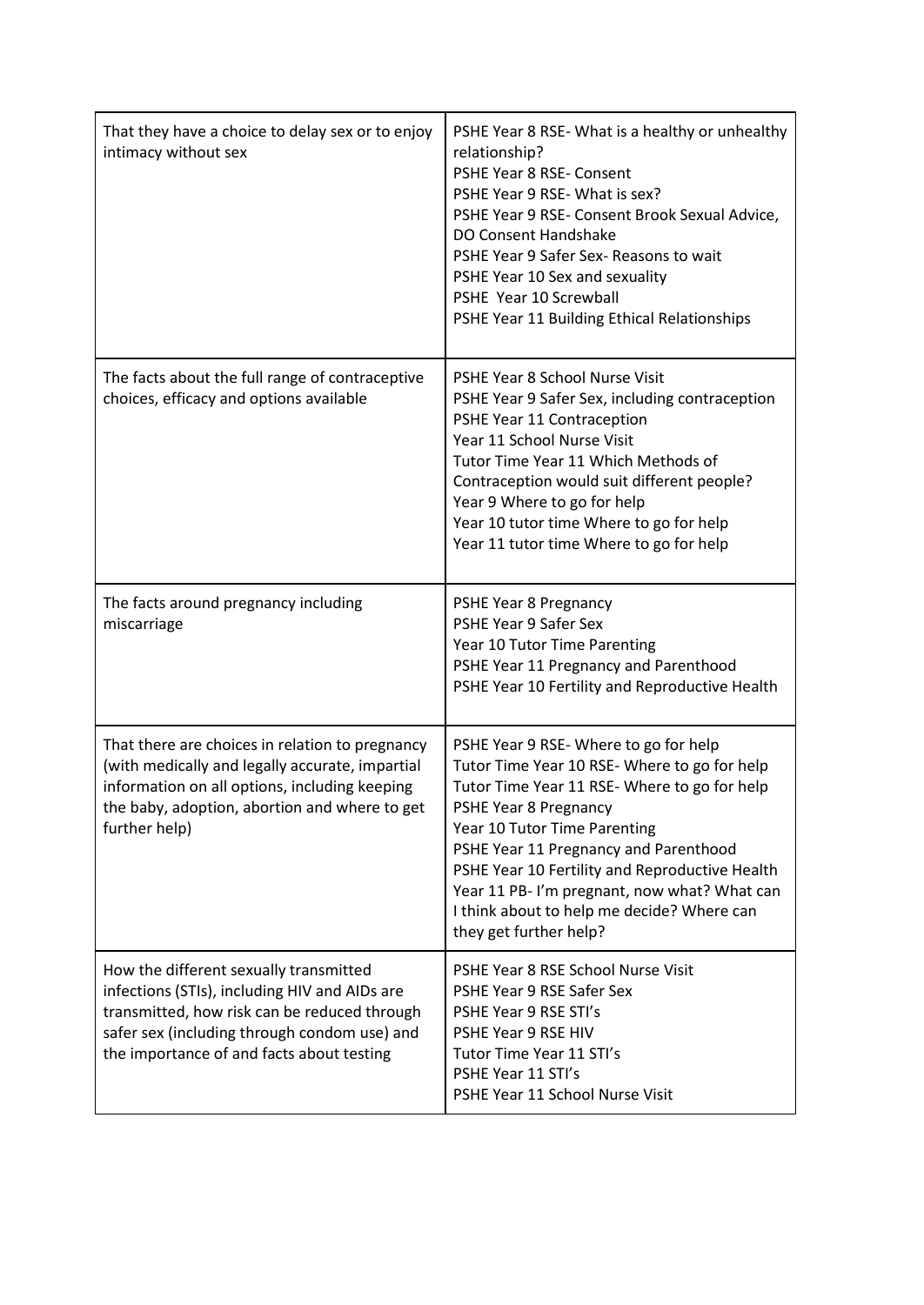| That they have a choice to delay sex or to enjoy<br>intimacy without sex                                                                                                                                                             | PSHE Year 8 RSE-What is a healthy or unhealthy<br>relationship?<br>PSHE Year 8 RSE- Consent<br>PSHE Year 9 RSE- What is sex?<br>PSHE Year 9 RSE- Consent Brook Sexual Advice,<br>DO Consent Handshake<br>PSHE Year 9 Safer Sex- Reasons to wait<br>PSHE Year 10 Sex and sexuality<br>PSHE Year 10 Screwball<br>PSHE Year 11 Building Ethical Relationships                                                    |
|--------------------------------------------------------------------------------------------------------------------------------------------------------------------------------------------------------------------------------------|---------------------------------------------------------------------------------------------------------------------------------------------------------------------------------------------------------------------------------------------------------------------------------------------------------------------------------------------------------------------------------------------------------------|
| The facts about the full range of contraceptive<br>choices, efficacy and options available                                                                                                                                           | PSHE Year 8 School Nurse Visit<br>PSHE Year 9 Safer Sex, including contraception<br>PSHE Year 11 Contraception<br>Year 11 School Nurse Visit<br>Tutor Time Year 11 Which Methods of<br>Contraception would suit different people?<br>Year 9 Where to go for help<br>Year 10 tutor time Where to go for help<br>Year 11 tutor time Where to go for help                                                        |
| The facts around pregnancy including<br>miscarriage                                                                                                                                                                                  | PSHE Year 8 Pregnancy<br>PSHE Year 9 Safer Sex<br>Year 10 Tutor Time Parenting<br>PSHE Year 11 Pregnancy and Parenthood<br>PSHE Year 10 Fertility and Reproductive Health                                                                                                                                                                                                                                     |
| That there are choices in relation to pregnancy<br>(with medically and legally accurate, impartial<br>information on all options, including keeping<br>the baby, adoption, abortion and where to get<br>further help)                | PSHE Year 9 RSE-Where to go for help<br>Tutor Time Year 10 RSE-Where to go for help<br>Tutor Time Year 11 RSE-Where to go for help<br>PSHE Year 8 Pregnancy<br>Year 10 Tutor Time Parenting<br>PSHE Year 11 Pregnancy and Parenthood<br>PSHE Year 10 Fertility and Reproductive Health<br>Year 11 PB-I'm pregnant, now what? What can<br>I think about to help me decide? Where can<br>they get further help? |
| How the different sexually transmitted<br>infections (STIs), including HIV and AIDs are<br>transmitted, how risk can be reduced through<br>safer sex (including through condom use) and<br>the importance of and facts about testing | PSHE Year 8 RSE School Nurse Visit<br>PSHE Year 9 RSE Safer Sex<br>PSHE Year 9 RSE STI's<br>PSHE Year 9 RSE HIV<br>Tutor Time Year 11 STI's<br>PSHE Year 11 STI's<br>PSHE Year 11 School Nurse Visit                                                                                                                                                                                                          |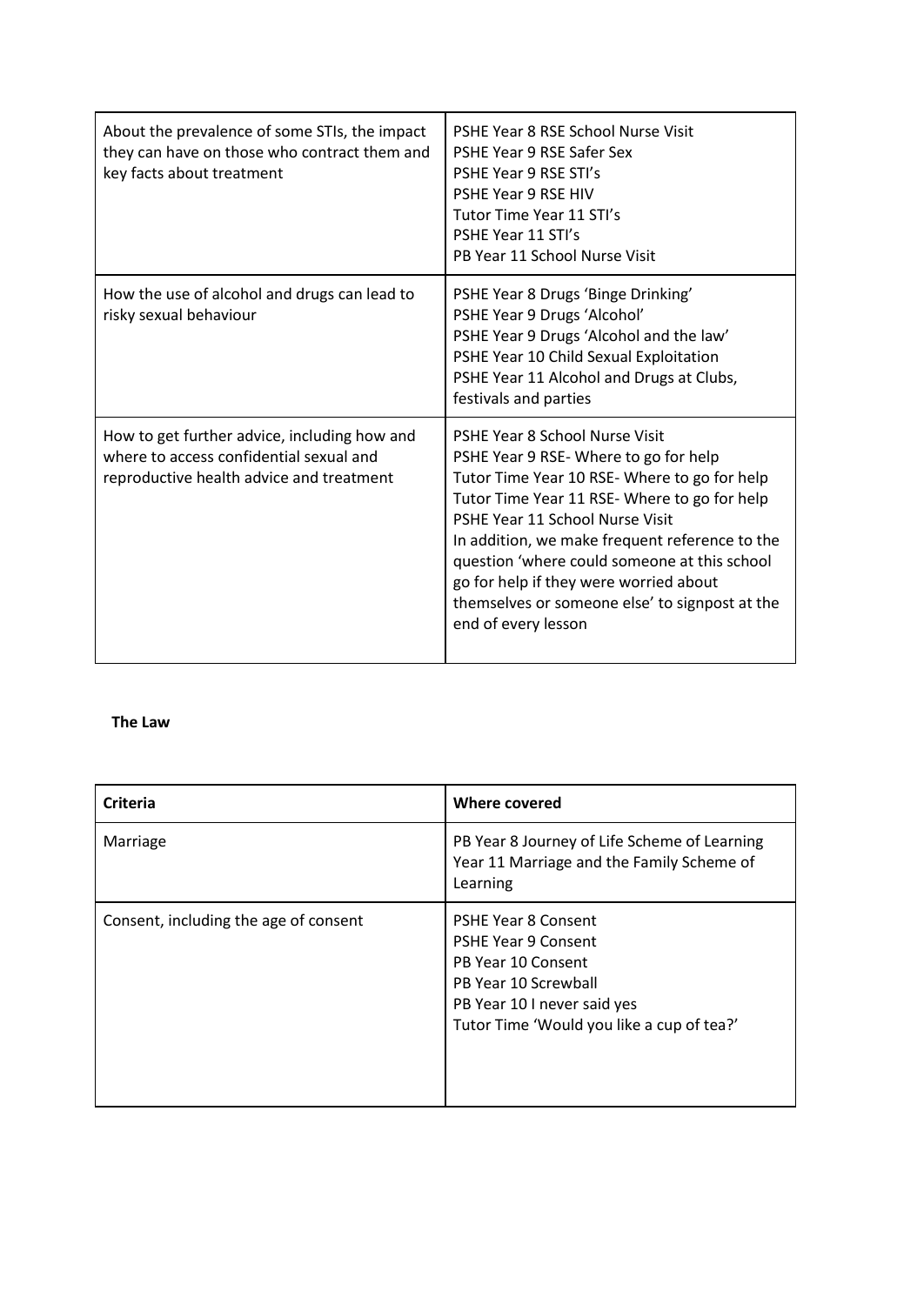| About the prevalence of some STIs, the impact<br>they can have on those who contract them and<br>key facts about treatment          | PSHE Year 8 RSE School Nurse Visit<br>PSHE Year 9 RSE Safer Sex<br>PSHE Year 9 RSE STI's<br><b>PSHE Year 9 RSE HIV</b><br>Tutor Time Year 11 STI's<br>PSHE Year 11 STI's<br>PB Year 11 School Nurse Visit                                                                                                                                                                                                                    |
|-------------------------------------------------------------------------------------------------------------------------------------|------------------------------------------------------------------------------------------------------------------------------------------------------------------------------------------------------------------------------------------------------------------------------------------------------------------------------------------------------------------------------------------------------------------------------|
| How the use of alcohol and drugs can lead to<br>risky sexual behaviour                                                              | PSHE Year 8 Drugs 'Binge Drinking'<br>PSHE Year 9 Drugs 'Alcohol'<br>PSHE Year 9 Drugs 'Alcohol and the law'<br>PSHE Year 10 Child Sexual Exploitation<br>PSHE Year 11 Alcohol and Drugs at Clubs,<br>festivals and parties                                                                                                                                                                                                  |
| How to get further advice, including how and<br>where to access confidential sexual and<br>reproductive health advice and treatment | PSHE Year 8 School Nurse Visit<br>PSHE Year 9 RSE-Where to go for help<br>Tutor Time Year 10 RSE-Where to go for help<br>Tutor Time Year 11 RSE-Where to go for help<br>PSHE Year 11 School Nurse Visit<br>In addition, we make frequent reference to the<br>question 'where could someone at this school<br>go for help if they were worried about<br>themselves or someone else' to signpost at the<br>end of every lesson |

#### **The Law**

| <b>Criteria</b>                       | Where covered                                                                                                                                                                      |
|---------------------------------------|------------------------------------------------------------------------------------------------------------------------------------------------------------------------------------|
| Marriage                              | PB Year 8 Journey of Life Scheme of Learning<br>Year 11 Marriage and the Family Scheme of<br>Learning                                                                              |
| Consent, including the age of consent | <b>PSHE Year 8 Consent</b><br><b>PSHE Year 9 Consent</b><br>PB Year 10 Consent<br>PB Year 10 Screwball<br>PB Year 10 I never said yes<br>Tutor Time 'Would you like a cup of tea?' |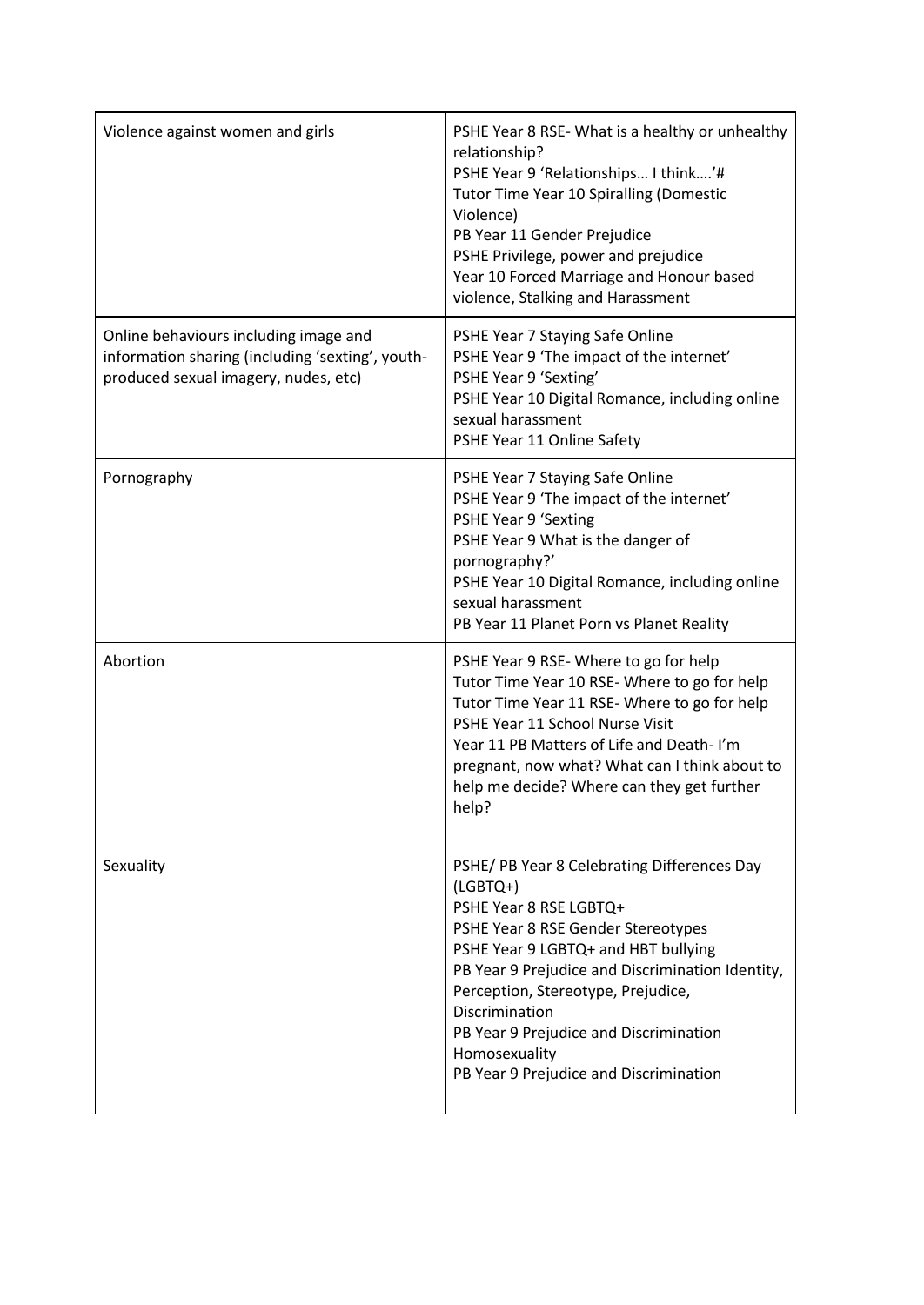| Violence against women and girls                                                                                                  | PSHE Year 8 RSE- What is a healthy or unhealthy<br>relationship?<br>PSHE Year 9 'Relationships I think'#<br><b>Tutor Time Year 10 Spiralling (Domestic</b><br>Violence)<br>PB Year 11 Gender Prejudice<br>PSHE Privilege, power and prejudice<br>Year 10 Forced Marriage and Honour based<br>violence, Stalking and Harassment                                                    |
|-----------------------------------------------------------------------------------------------------------------------------------|-----------------------------------------------------------------------------------------------------------------------------------------------------------------------------------------------------------------------------------------------------------------------------------------------------------------------------------------------------------------------------------|
| Online behaviours including image and<br>information sharing (including 'sexting', youth-<br>produced sexual imagery, nudes, etc) | PSHE Year 7 Staying Safe Online<br>PSHE Year 9 'The impact of the internet'<br>PSHE Year 9 'Sexting'<br>PSHE Year 10 Digital Romance, including online<br>sexual harassment<br>PSHE Year 11 Online Safety                                                                                                                                                                         |
| Pornography                                                                                                                       | PSHE Year 7 Staying Safe Online<br>PSHE Year 9 'The impact of the internet'<br><b>PSHE Year 9 'Sexting</b><br>PSHE Year 9 What is the danger of<br>pornography?'<br>PSHE Year 10 Digital Romance, including online<br>sexual harassment<br>PB Year 11 Planet Porn vs Planet Reality                                                                                               |
| Abortion                                                                                                                          | PSHE Year 9 RSE-Where to go for help<br>Tutor Time Year 10 RSE- Where to go for help<br>Tutor Time Year 11 RSE- Where to go for help<br>PSHE Year 11 School Nurse Visit<br>Year 11 PB Matters of Life and Death-I'm<br>pregnant, now what? What can I think about to<br>help me decide? Where can they get further<br>help?                                                       |
| Sexuality                                                                                                                         | PSHE/ PB Year 8 Celebrating Differences Day<br>$(LGBTQ+)$<br>PSHE Year 8 RSE LGBTQ+<br>PSHE Year 8 RSE Gender Stereotypes<br>PSHE Year 9 LGBTQ+ and HBT bullying<br>PB Year 9 Prejudice and Discrimination Identity,<br>Perception, Stereotype, Prejudice,<br>Discrimination<br>PB Year 9 Prejudice and Discrimination<br>Homosexuality<br>PB Year 9 Prejudice and Discrimination |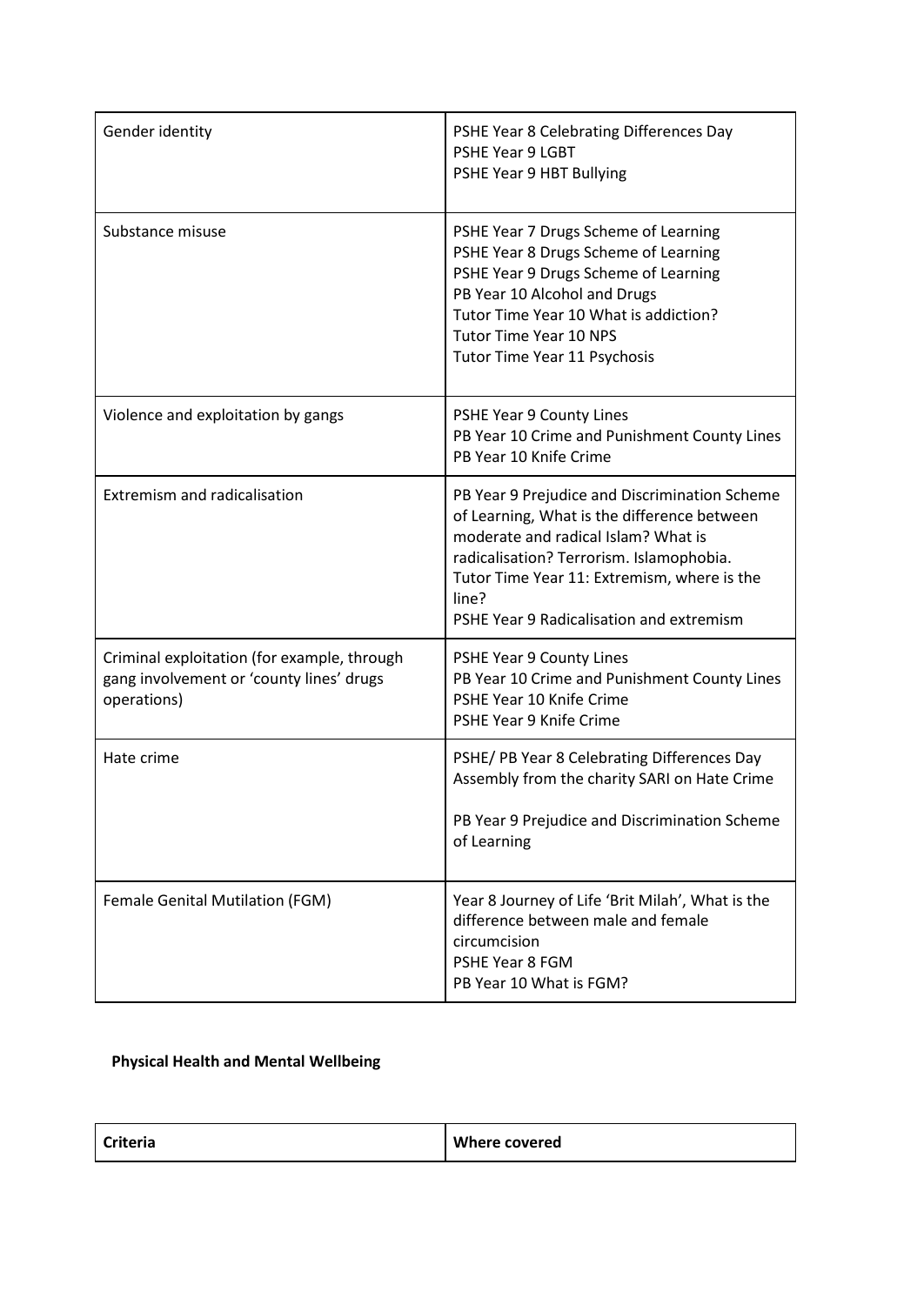| Gender identity                                                                                        | PSHE Year 8 Celebrating Differences Day<br><b>PSHE Year 9 LGBT</b><br>PSHE Year 9 HBT Bullying                                                                                                                                                                                      |
|--------------------------------------------------------------------------------------------------------|-------------------------------------------------------------------------------------------------------------------------------------------------------------------------------------------------------------------------------------------------------------------------------------|
| Substance misuse                                                                                       | PSHE Year 7 Drugs Scheme of Learning<br>PSHE Year 8 Drugs Scheme of Learning<br>PSHE Year 9 Drugs Scheme of Learning<br>PB Year 10 Alcohol and Drugs<br>Tutor Time Year 10 What is addiction?<br><b>Tutor Time Year 10 NPS</b><br>Tutor Time Year 11 Psychosis                      |
| Violence and exploitation by gangs                                                                     | PSHE Year 9 County Lines<br>PB Year 10 Crime and Punishment County Lines<br>PB Year 10 Knife Crime                                                                                                                                                                                  |
| <b>Extremism and radicalisation</b>                                                                    | PB Year 9 Prejudice and Discrimination Scheme<br>of Learning, What is the difference between<br>moderate and radical Islam? What is<br>radicalisation? Terrorism. Islamophobia.<br>Tutor Time Year 11: Extremism, where is the<br>line?<br>PSHE Year 9 Radicalisation and extremism |
| Criminal exploitation (for example, through<br>gang involvement or 'county lines' drugs<br>operations) | PSHE Year 9 County Lines<br>PB Year 10 Crime and Punishment County Lines<br>PSHE Year 10 Knife Crime<br>PSHE Year 9 Knife Crime                                                                                                                                                     |
| Hate crime                                                                                             | PSHE/ PB Year 8 Celebrating Differences Day<br>Assembly from the charity SARI on Hate Crime<br>PB Year 9 Prejudice and Discrimination Scheme<br>of Learning                                                                                                                         |
| Female Genital Mutilation (FGM)                                                                        | Year 8 Journey of Life 'Brit Milah', What is the<br>difference between male and female<br>circumcision<br>PSHE Year 8 FGM<br>PB Year 10 What is FGM?                                                                                                                                |

## **Physical Health and Mental Wellbeing**

| <b>Criteria</b> | <b>Where covered</b> |
|-----------------|----------------------|
|-----------------|----------------------|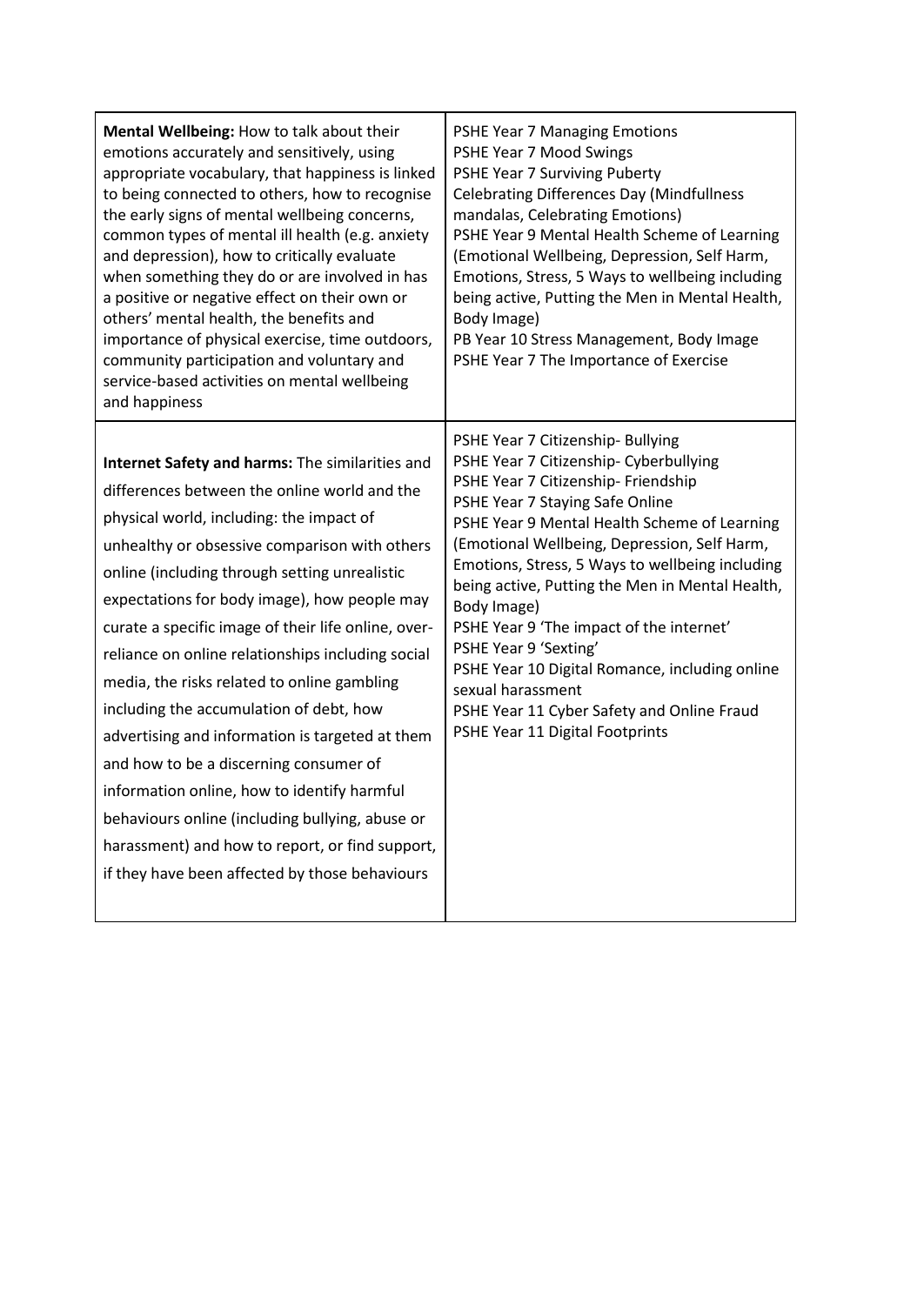| Mental Wellbeing: How to talk about their<br>emotions accurately and sensitively, using<br>appropriate vocabulary, that happiness is linked<br>to being connected to others, how to recognise<br>the early signs of mental wellbeing concerns,<br>common types of mental ill health (e.g. anxiety<br>and depression), how to critically evaluate<br>when something they do or are involved in has<br>a positive or negative effect on their own or<br>others' mental health, the benefits and<br>importance of physical exercise, time outdoors,<br>community participation and voluntary and<br>service-based activities on mental wellbeing<br>and happiness                                                                                                                                          | <b>PSHE Year 7 Managing Emotions</b><br>PSHE Year 7 Mood Swings<br>PSHE Year 7 Surviving Puberty<br><b>Celebrating Differences Day (Mindfullness</b><br>mandalas, Celebrating Emotions)<br>PSHE Year 9 Mental Health Scheme of Learning<br>(Emotional Wellbeing, Depression, Self Harm,<br>Emotions, Stress, 5 Ways to wellbeing including<br>being active, Putting the Men in Mental Health,<br>Body Image)<br>PB Year 10 Stress Management, Body Image<br>PSHE Year 7 The Importance of Exercise                                                                                                      |
|---------------------------------------------------------------------------------------------------------------------------------------------------------------------------------------------------------------------------------------------------------------------------------------------------------------------------------------------------------------------------------------------------------------------------------------------------------------------------------------------------------------------------------------------------------------------------------------------------------------------------------------------------------------------------------------------------------------------------------------------------------------------------------------------------------|---------------------------------------------------------------------------------------------------------------------------------------------------------------------------------------------------------------------------------------------------------------------------------------------------------------------------------------------------------------------------------------------------------------------------------------------------------------------------------------------------------------------------------------------------------------------------------------------------------|
| Internet Safety and harms: The similarities and<br>differences between the online world and the<br>physical world, including: the impact of<br>unhealthy or obsessive comparison with others<br>online (including through setting unrealistic<br>expectations for body image), how people may<br>curate a specific image of their life online, over-<br>reliance on online relationships including social<br>media, the risks related to online gambling<br>including the accumulation of debt, how<br>advertising and information is targeted at them<br>and how to be a discerning consumer of<br>information online, how to identify harmful<br>behaviours online (including bullying, abuse or<br>harassment) and how to report, or find support,<br>if they have been affected by those behaviours | PSHE Year 7 Citizenship- Bullying<br>PSHE Year 7 Citizenship- Cyberbullying<br>PSHE Year 7 Citizenship- Friendship<br>PSHE Year 7 Staying Safe Online<br>PSHE Year 9 Mental Health Scheme of Learning<br>(Emotional Wellbeing, Depression, Self Harm,<br>Emotions, Stress, 5 Ways to wellbeing including<br>being active, Putting the Men in Mental Health,<br>Body Image)<br>PSHE Year 9 'The impact of the internet'<br>PSHE Year 9 'Sexting'<br>PSHE Year 10 Digital Romance, including online<br>sexual harassment<br>PSHE Year 11 Cyber Safety and Online Fraud<br>PSHE Year 11 Digital Footprints |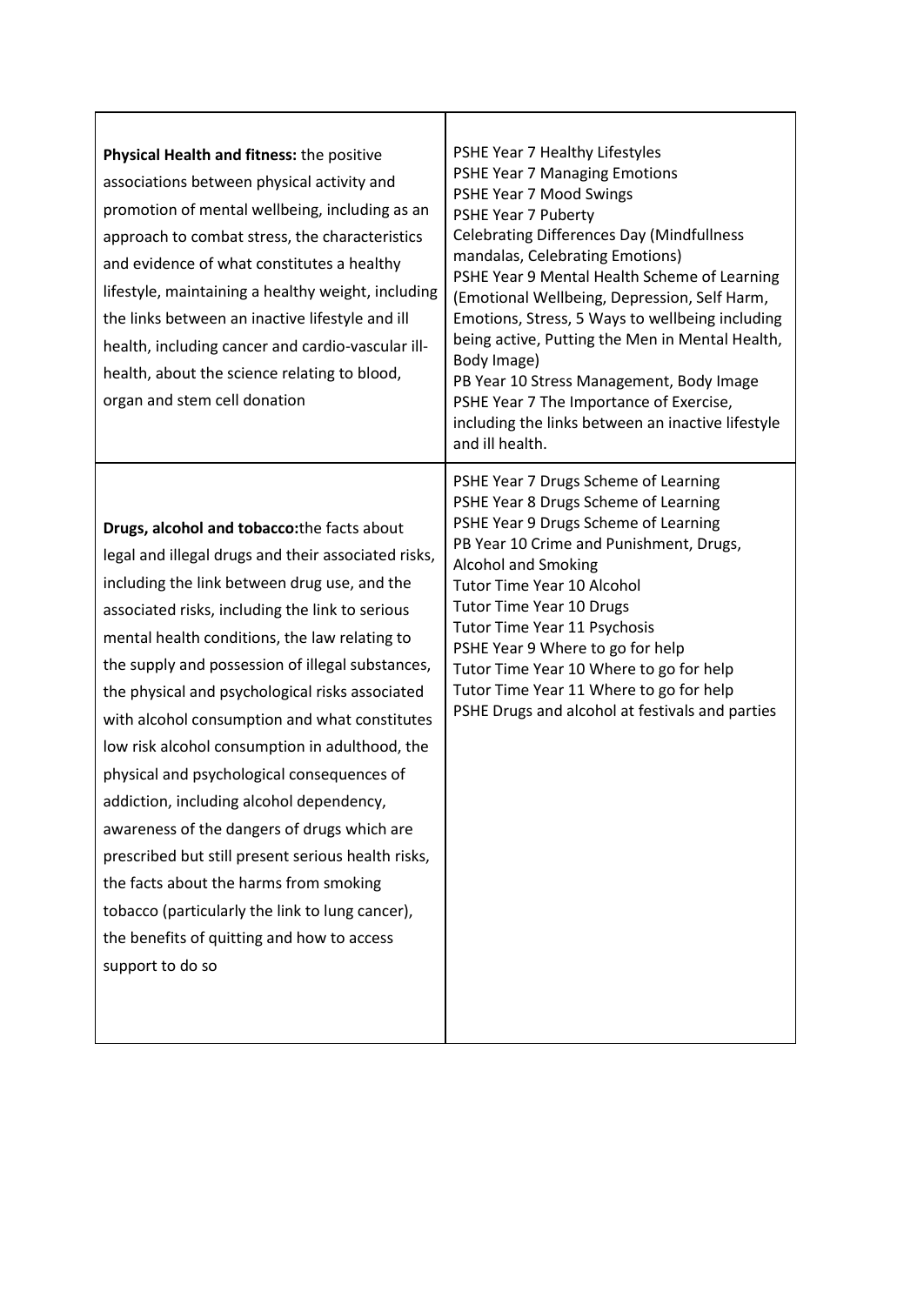| Physical Health and fitness: the positive<br>associations between physical activity and<br>promotion of mental wellbeing, including as an<br>approach to combat stress, the characteristics<br>and evidence of what constitutes a healthy<br>lifestyle, maintaining a healthy weight, including<br>the links between an inactive lifestyle and ill<br>health, including cancer and cardio-vascular ill-<br>health, about the science relating to blood,<br>organ and stem cell donation                                                                                                                                                                                                                                                                                                                                        | PSHE Year 7 Healthy Lifestyles<br>PSHE Year 7 Managing Emotions<br>PSHE Year 7 Mood Swings<br>PSHE Year 7 Puberty<br><b>Celebrating Differences Day (Mindfullness</b><br>mandalas, Celebrating Emotions)<br>PSHE Year 9 Mental Health Scheme of Learning<br>(Emotional Wellbeing, Depression, Self Harm,<br>Emotions, Stress, 5 Ways to wellbeing including<br>being active, Putting the Men in Mental Health,<br>Body Image)<br>PB Year 10 Stress Management, Body Image<br>PSHE Year 7 The Importance of Exercise,<br>including the links between an inactive lifestyle<br>and ill health. |
|--------------------------------------------------------------------------------------------------------------------------------------------------------------------------------------------------------------------------------------------------------------------------------------------------------------------------------------------------------------------------------------------------------------------------------------------------------------------------------------------------------------------------------------------------------------------------------------------------------------------------------------------------------------------------------------------------------------------------------------------------------------------------------------------------------------------------------|----------------------------------------------------------------------------------------------------------------------------------------------------------------------------------------------------------------------------------------------------------------------------------------------------------------------------------------------------------------------------------------------------------------------------------------------------------------------------------------------------------------------------------------------------------------------------------------------|
| Drugs, alcohol and tobacco: the facts about<br>legal and illegal drugs and their associated risks,<br>including the link between drug use, and the<br>associated risks, including the link to serious<br>mental health conditions, the law relating to<br>the supply and possession of illegal substances,<br>the physical and psychological risks associated<br>with alcohol consumption and what constitutes<br>low risk alcohol consumption in adulthood, the<br>physical and psychological consequences of<br>addiction, including alcohol dependency,<br>awareness of the dangers of drugs which are<br>prescribed but still present serious health risks,<br>the facts about the harms from smoking<br>tobacco (particularly the link to lung cancer),<br>the benefits of quitting and how to access<br>support to do so | PSHE Year 7 Drugs Scheme of Learning<br>PSHE Year 8 Drugs Scheme of Learning<br>PSHE Year 9 Drugs Scheme of Learning<br>PB Year 10 Crime and Punishment, Drugs,<br><b>Alcohol and Smoking</b><br>Tutor Time Year 10 Alcohol<br><b>Tutor Time Year 10 Drugs</b><br>Tutor Time Year 11 Psychosis<br>PSHE Year 9 Where to go for help<br>Tutor Time Year 10 Where to go for help<br>Tutor Time Year 11 Where to go for help<br>PSHE Drugs and alcohol at festivals and parties                                                                                                                  |